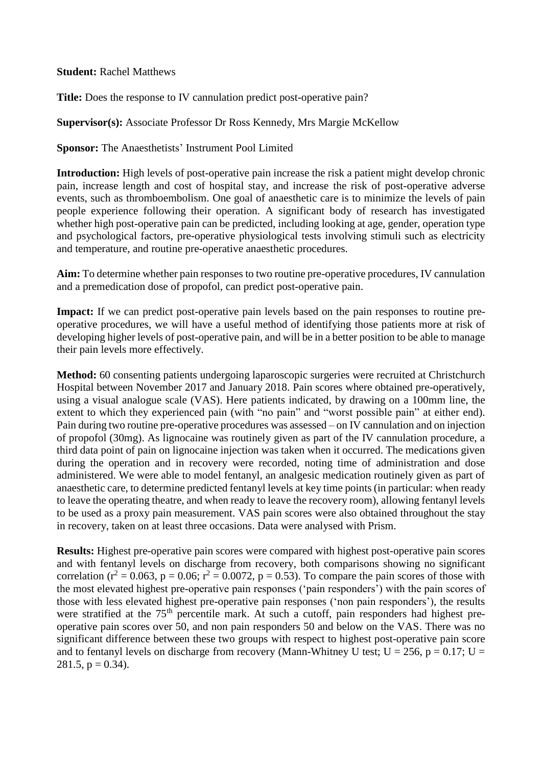## **Student:** Rachel Matthews

**Title:** Does the response to IV cannulation predict post-operative pain?

## **Supervisor(s):** Associate Professor Dr Ross Kennedy, Mrs Margie McKellow

**Sponsor:** The Anaesthetists' Instrument Pool Limited

**Introduction:** High levels of post-operative pain increase the risk a patient might develop chronic pain, increase length and cost of hospital stay, and increase the risk of post-operative adverse events, such as thromboembolism. One goal of anaesthetic care is to minimize the levels of pain people experience following their operation. A significant body of research has investigated whether high post-operative pain can be predicted, including looking at age, gender, operation type and psychological factors, pre-operative physiological tests involving stimuli such as electricity and temperature, and routine pre-operative anaesthetic procedures.

**Aim:** To determine whether pain responses to two routine pre-operative procedures, IV cannulation and a premedication dose of propofol, can predict post-operative pain.

**Impact:** If we can predict post-operative pain levels based on the pain responses to routine preoperative procedures, we will have a useful method of identifying those patients more at risk of developing higher levels of post-operative pain, and will be in a better position to be able to manage their pain levels more effectively.

**Method:** 60 consenting patients undergoing laparoscopic surgeries were recruited at Christchurch Hospital between November 2017 and January 2018. Pain scores where obtained pre-operatively, using a visual analogue scale (VAS). Here patients indicated, by drawing on a 100mm line, the extent to which they experienced pain (with "no pain" and "worst possible pain" at either end). Pain during two routine pre-operative procedures was assessed – on IV cannulation and on injection of propofol (30mg). As lignocaine was routinely given as part of the IV cannulation procedure, a third data point of pain on lignocaine injection was taken when it occurred. The medications given during the operation and in recovery were recorded, noting time of administration and dose administered. We were able to model fentanyl, an analgesic medication routinely given as part of anaesthetic care, to determine predicted fentanyl levels at key time points (in particular: when ready to leave the operating theatre, and when ready to leave the recovery room), allowing fentanyl levels to be used as a proxy pain measurement. VAS pain scores were also obtained throughout the stay in recovery, taken on at least three occasions. Data were analysed with Prism.

**Results:** Highest pre-operative pain scores were compared with highest post-operative pain scores and with fentanyl levels on discharge from recovery, both comparisons showing no significant correlation ( $r^2 = 0.063$ ,  $p = 0.06$ ;  $r^2 = 0.0072$ ,  $p = 0.53$ ). To compare the pain scores of those with the most elevated highest pre-operative pain responses ('pain responders') with the pain scores of those with less elevated highest pre-operative pain responses ('non pain responders'), the results were stratified at the 75<sup>th</sup> percentile mark. At such a cutoff, pain responders had highest preoperative pain scores over 50, and non pain responders 50 and below on the VAS. There was no significant difference between these two groups with respect to highest post-operative pain score and to fentanyl levels on discharge from recovery (Mann-Whitney U test;  $U = 256$ ,  $p = 0.17$ ;  $U =$ 281.5,  $p = 0.34$ ).